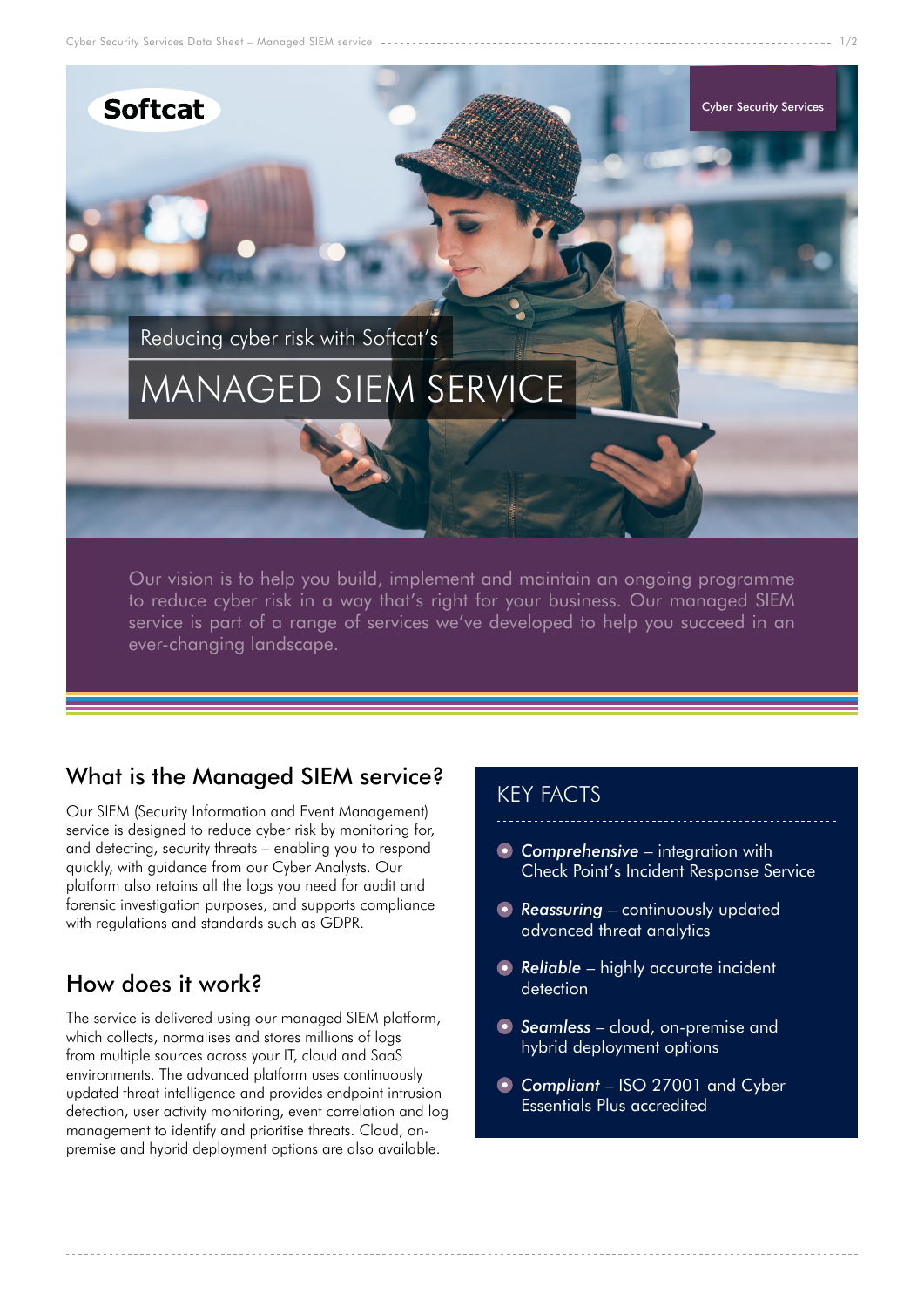Cyber Security Services Data Sheet – Managed SIEM service





# What is the Managed SIEM service?

Our SIEM (Security Information and Event Management) service is designed to reduce cyber risk by monitoring for, and detecting, security threats – enabling you to respond quickly, with guidance from our Cyber Analysts. Our platform also retains all the logs you need for audit and forensic investigation purposes, and supports compliance with regulations and standards such as GDPR.

# How does it work?

The service is delivered using our managed SIEM platform, which collects, normalises and stores millions of logs from multiple sources across your IT, cloud and SaaS environments. The advanced platform uses continuously updated threat intelligence and provides endpoint intrusion detection, user activity monitoring, event correlation and log management to identify and prioritise threats. Cloud, onpremise and hybrid deployment options are also available.

## KEY FACTS

- *Comprehensive* integration with Check Point's Incident Response Service
- **Reassuring** continuously updated advanced threat analytics
- **Reliable** highly accurate incident detection
- *Seamless* cloud, on-premise and hybrid deployment options
- *Compliant* ISO 27001 and Cyber Essentials Plus accredited